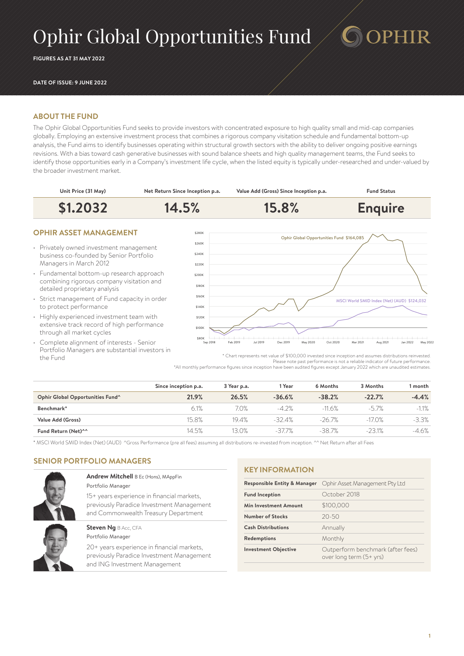# Ophir Global Opportunities Fund

**FIGURES AS AT 31 MAY 2022**

#### **DATE OF ISSUE: 9 JUNE 2022**

#### **ABOUT THE FUND**

The Ophir Global Opportunities Fund seeks to provide investors with concentrated exposure to high quality small and mid-cap companies globally. Employing an extensive investment process that combines a rigorous company visitation schedule and fundamental bottom-up analysis, the Fund aims to identify businesses operating within structural growth sectors with the ability to deliver ongoing positive earnings revisions. With a bias toward cash generative businesses with sound balance sheets and high quality management teams, the Fund seeks to identify those opportunities early in a Company's investment life cycle, when the listed equity is typically under-researched and under-valued by the broader investment market.



### **OPHIR ASSET MANAGEMENT**

- Privately owned investment management business co-founded by Senior Portfolio Managers in March 2012
- Fundamental bottom-up research approach combining rigorous company visitation and detailed proprietary analysis
- Strict management of Fund capacity in order to protect performance
- Highly experienced investment team with extensive track record of high performance through all market cycles
- Complete alignment of interests Senior Portfolio Managers are substantial investors in the Fund



**PHIR** 

\* Chart represents net value of \$100,000 invested since inception and assumes distributions reinvested. Please note past performance is not a reliable indicator of future performance. \*All monthly performance figures since inception have been audited figures except January 2022 which are unaudited estimates.

|                                  | Since inception p.a. | 3 Year p.a. | Year     | 6 Months  | 3 Months | 1 month  |
|----------------------------------|----------------------|-------------|----------|-----------|----------|----------|
| Ophir Global Opportunities Fund^ | 21.9%                | 26.5%       | $-36.6%$ | $-38.2%$  | $-22.7%$ | $-4.4%$  |
| Benchmark*                       | 6.1%                 | 7.0%        | $-4.2%$  | $-11.6%$  | $-57%$   | $-1.1\%$ |
| Value Add (Gross)                | 15.8%                | 19.4%       | $-324%$  | $-26.7\%$ | $-17.0%$ | $-3.3\%$ |
| Fund Return (Net)^^              | 14.5%                | 13.0%       | -37.7%   | -38.7%    | $-231%$  | $-4.6%$  |

\* MSCI World SMID Index (Net) (AUD) ^Gross Performance (pre all fees) assuming all distributions re-invested from inception. ^^ Net Return after all Fees

### **SENIOR PORTFOLIO MANAGERS**



#### **Andrew Mitchell** B Ec (Hons), MAppFin Portfolio Manager

15+ years experience in financial markets, previously Paradice Investment Management and Commonwealth Treasury Department

#### **Steven Ng BAcc, CFA** Portfolio Manager

20+ years experience in financial markets, previously Paradice Investment Management and ING Investment Management

#### **KEY INFORMATION**

| <b>Responsible Entity &amp; Manager</b> | Ophir Asset Management Pty Ltd                               |  |  |
|-----------------------------------------|--------------------------------------------------------------|--|--|
| <b>Fund Inception</b>                   | October 2018                                                 |  |  |
| Min Investment Amount                   | \$100,000                                                    |  |  |
| Number of Stocks                        | $20 - 50$                                                    |  |  |
| <b>Cash Distributions</b>               | Annually                                                     |  |  |
| Redemptions                             | Monthly                                                      |  |  |
| <b>Investment Objective</b>             | Outperform benchmark (after fees)<br>over long term (5+ yrs) |  |  |
|                                         |                                                              |  |  |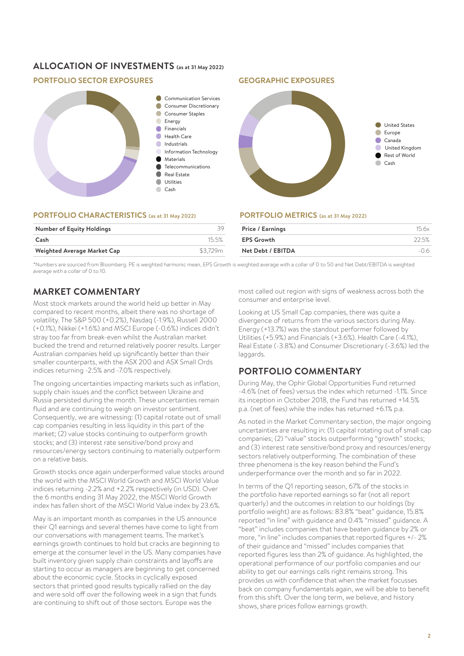# **ALLOCATION OF INVESTMENTS (as at 31 May 2022)**

## **PORTFOLIO SECTOR EXPOSURES GEOGRAPHIC EXPOSURES**



#### **PORTFOLIO CHARACTERISTICS (as at 31 May 2022)**

| 15.5%    |
|----------|
| \$3.729m |
|          |



# **PORTFOLIO METRICS (as at 31 May 2022)**

| Price / Earnings  | 156x  |
|-------------------|-------|
| <b>EPS Growth</b> | 22.5% |
| Net Debt / EBITDA | $-06$ |

\*Numbers are sourced from Bloomberg. PE is weighted harmonic mean, EPS Growth is weighted average with a collar of 0 to 50 and Net Debt/EBITDA is weighted average with a collar of  $0$  to  $10$ .

# **MARKET COMMENTARY**

Most stock markets around the world held up better in May compared to recent months, albeit there was no shortage of volatility. The S&P 500 (+0.2%), Nasdaq (-1.9%), Russell 2000 (+0.1%), Nikkei (+1.6%) and MSCI Europe (-0.6%) indices didn't stray too far from break-even whilst the Australian market bucked the trend and returned relatively poorer results. Larger Australian companies held up significantly better than their smaller counterparts, with the ASX 200 and ASX Small Ords indices returning -2.5% and -7.0% respectively.

The ongoing uncertainties impacting markets such as inflation, supply chain issues and the conflict between Ukraine and Russia persisted during the month. These uncertainties remain fluid and are continuing to weigh on investor sentiment. Consequently, we are witnessing: (1) capital rotate out of small cap companies resulting in less liquidity in this part of the market; (2) value stocks continuing to outperform growth stocks; and (3) interest rate sensitive/bond proxy and resources/energy sectors continuing to materially outperform on a relative basis.

Growth stocks once again underperformed value stocks around the world with the MSCI World Growth and MSCI World Value indices returning -2.2% and +2.2% respectively (in USD). Over the 6 months ending 31 May 2022, the MSCI World Growth index has fallen short of the MSCI World Value index by 23.6%.

May is an important month as companies in the US announce their Q1 earnings and several themes have come to light from our conversations with management teams. The market's earnings growth continues to hold but cracks are beginning to emerge at the consumer level in the US. Many companies have built inventory given supply chain constraints and layoffs are starting to occur as managers are beginning to get concerned about the economic cycle. Stocks in cyclically exposed sectors that printed good results typically rallied on the day and were sold off over the following week in a sign that funds are continuing to shift out of those sectors. Europe was the

most called out region with signs of weakness across both the consumer and enterprise level.

Looking at US Small Cap companies, there was quite a divergence of returns from the various sectors during May. Energy (+13.7%) was the standout performer followed by Utilities (+5.9%) and Financials (+3.6%). Health Care (-4.1%), Real Estate (-3.8%) and Consumer Discretionary (-3.6%) led the laggards.

# **PORTFOLIO COMMENTARY**

During May, the Ophir Global Opportunities Fund returned -4.6% (net of fees) versus the index which returned -1.1%. Since its inception in October 2018, the Fund has returned +14.5% p.a. (net of fees) while the index has returned +6.1% p.a.

As noted in the Market Commentary section, the major ongoing uncertainties are resulting in: (1) capital rotating out of small cap companies; (2) "value" stocks outperforming "growth" stocks; and (3) interest rate sensitive/bond proxy and resources/energy sectors relatively outperforming. The combination of these three phenomena is the key reason behind the Fund's underperformance over the month and so far in 2022.

In terms of the Q1 reporting season, 67% of the stocks in the portfolio have reported earnings so far (not all report quarterly) and the outcomes in relation to our holdings (by portfolio weight) are as follows: 83.8% "beat" guidance, 15.8% reported "in line" with guidance and 0.4% "missed" guidance. A "beat" includes companies that have beaten guidance by 2% or more, "in line" includes companies that reported figures +/- 2% of their guidance and "missed" includes companies that reported figures less than 2% of guidance. As highlighted, the operational performance of our portfolio companies and our ability to get our earnings calls right remains strong. This provides us with confidence that when the market focusses back on company fundamentals again, we will be able to benefit from this shift. Over the long term, we believe, and history shows, share prices follow earnings growth.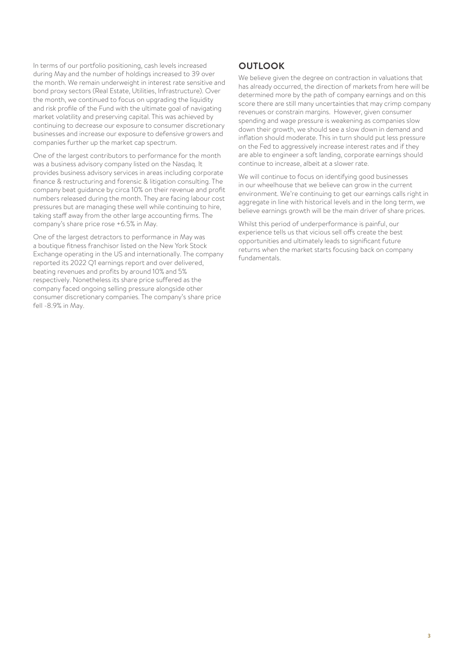In terms of our portfolio positioning, cash levels increased during May and the number of holdings increased to 39 over the month. We remain underweight in interest rate sensitive and bond proxy sectors (Real Estate, Utilities, Infrastructure). Over the month, we continued to focus on upgrading the liquidity and risk profile of the Fund with the ultimate goal of navigating market volatility and preserving capital. This was achieved by continuing to decrease our exposure to consumer discretionary businesses and increase our exposure to defensive growers and companies further up the market cap spectrum.

One of the largest contributors to performance for the month was a business advisory company listed on the Nasdaq. It provides business advisory services in areas including corporate finance & restructuring and forensic & litigation consulting. The company beat guidance by circa 10% on their revenue and profit numbers released during the month. They are facing labour cost pressures but are managing these well while continuing to hire, taking staff away from the other large accounting firms. The company's share price rose +6.5% in May.

One of the largest detractors to performance in May was a boutique fitness franchisor listed on the New York Stock Exchange operating in the US and internationally. The company reported its 2022 Q1 earnings report and over delivered, beating revenues and profits by around 10% and 5% respectively. Nonetheless its share price suffered as the company faced ongoing selling pressure alongside other consumer discretionary companies. The company's share price fell -8.9% in May.

# **OUTLOOK**

We believe given the degree on contraction in valuations that has already occurred, the direction of markets from here will be determined more by the path of company earnings and on this score there are still many uncertainties that may crimp company revenues or constrain margins. However, given consumer spending and wage pressure is weakening as companies slow down their growth, we should see a slow down in demand and inflation should moderate. This in turn should put less pressure on the Fed to aggressively increase interest rates and if they are able to engineer a soft landing, corporate earnings should continue to increase, albeit at a slower rate.

We will continue to focus on identifying good businesses in our wheelhouse that we believe can grow in the current environment. We're continuing to get our earnings calls right in aggregate in line with historical levels and in the long term, we believe earnings growth will be the main driver of share prices.

Whilst this period of underperformance is painful, our experience tells us that vicious sell offs create the best opportunities and ultimately leads to significant future returns when the market starts focusing back on company fundamentals.